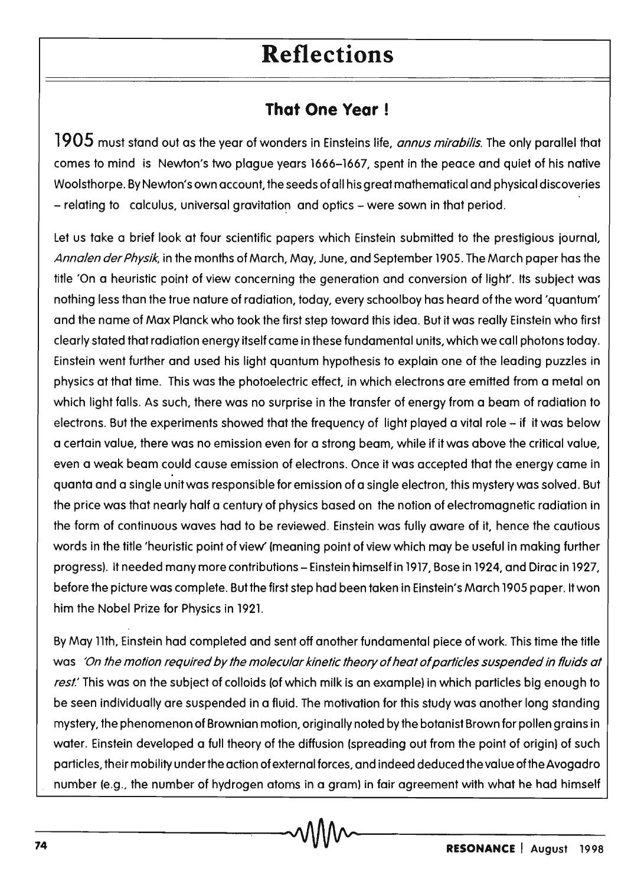## **Reflections**

## **That One Year!**

**1905** must stand out as the year of wonders in Einsteins life, annus mirabilis. The only parallel that comes to mind is Newton's two plague years 1666-1667, spent in the peace and quiet of his native Woolsthorpe. By Newton's own account, the seeds of all his great mathematical and physical discoveries  $-$  relating to calculus, universal gravitation and optics  $-$  were sown in that period.

Let us take a brief look at four scientific papers which Einstein submitted to the prestigious journal, Annalen der Physik, in the months of March, May, June, and September 1905. The March paper has the title 'On a heuristic point of view concerning the generation and conversion of lighr. Its subject was nothing less than the true nature of radiation, today, every schoolboy has heard of the word 'quantum' and the name of Max Planck who took the first step toward this idea. But it was really Einstein who first clearly stated that radiation energy itself came in these fundamental units, which we call photons today. Einstein went further and used his light quantum hypothesis to explain one of the leading puzzles in physics at that time. This was the photoelectric effect, in which electrons are emitted from a metal on which light falls. As such, there was no surprise in the transfer of energy from a beam of radiation to electrons. But the experiments showed that the frequency of light played a vital role  $-$  if it was below a certain value, there was no emission even for a strong beam, while if it was above the critical value, even a weak beam could cause emission of electrons. Once it was accepted that the energy came in quanta and a single unit was responsible for emission of a single electron, this mystery was solved. But the price was that nearly half a century of physics based on the notion of electromagnetic radiation in the form of continuous waves had to be reviewed. Einstein was fully aware of it, hence the cautious words in the title 'heuristic point of view' (meaning point of view which may be useful in making further progress). It needed many more contributions - Einstein himself in 1917, Bose in 1924, and Dirac in 1927, before the picture was complete. But the first step had been taken in Einstein's March 1905 paper. It won him the Nobel Prize for Physics in 1921.

By May 11th, Einstein had completed and sent off another fundamental piece of work. This time the title was 'On the motion required by the molecular kinetic theory of heat of particles suspended in fluids at rest.' This was on the subject of colloids (of which milk is an example) in which particles big enough to be seen individually are suspended in a fluid. The motivation for this study was another long standing mystery, the phenomenon of Brownian motion, originally noted by the botanist Brown for pollen grains in water. Einstein developed a full theory of the diffusion (spreading out from the point of origin) of such particles, their mobility under the action of external forces, and indeed deduced the value ofthe Avogadro number (e.g., the number of hydrogen atoms in a gram) in fair agreement with what he had himself